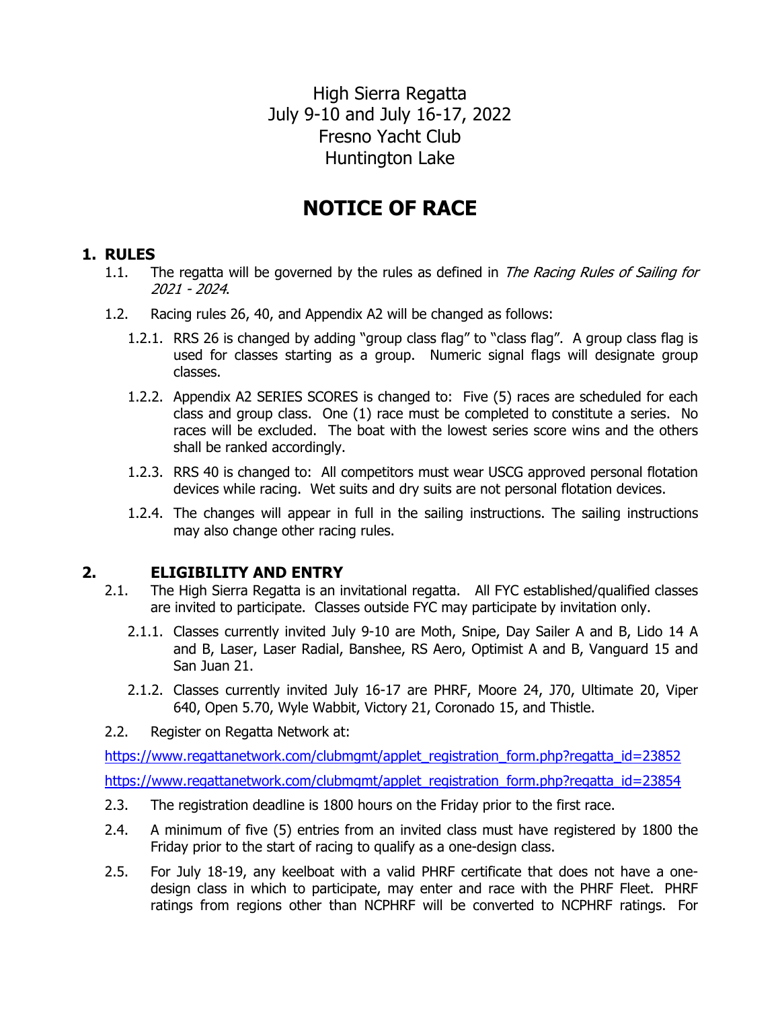High Sierra Regatta July 9-10 and July 16-17, 2022 Fresno Yacht Club Huntington Lake

# **NOTICE OF RACE**

## **1. RULES**

- 1.1. The regatta will be governed by the rules as defined in *The Racing Rules of Sailing for* 2021 - 2024.
- 1.2. Racing rules 26, 40, and Appendix A2 will be changed as follows:
	- 1.2.1. RRS 26 is changed by adding "group class flag" to "class flag". A group class flag is used for classes starting as a group. Numeric signal flags will designate group classes.
	- 1.2.2. Appendix A2 SERIES SCORES is changed to: Five (5) races are scheduled for each class and group class. One (1) race must be completed to constitute a series. No races will be excluded. The boat with the lowest series score wins and the others shall be ranked accordingly.
	- 1.2.3. RRS 40 is changed to: All competitors must wear USCG approved personal flotation devices while racing. Wet suits and dry suits are not personal flotation devices.
	- 1.2.4. The changes will appear in full in the sailing instructions. The sailing instructions may also change other racing rules.

#### **2. ELIGIBILITY AND ENTRY**

- 2.1. The High Sierra Regatta is an invitational regatta. All FYC established/qualified classes are invited to participate. Classes outside FYC may participate by invitation only.
	- 2.1.1. Classes currently invited July 9-10 are Moth, Snipe, Day Sailer A and B, Lido 14 A and B, Laser, Laser Radial, Banshee, RS Aero, Optimist A and B, Vanguard 15 and San Juan 21.
	- 2.1.2. Classes currently invited July 16-17 are PHRF, Moore 24, J70, Ultimate 20, Viper 640, Open 5.70, Wyle Wabbit, Victory 21, Coronado 15, and Thistle.
- 2.2. Register on Regatta Network at:

https://www.regattanetwork.com/clubmgmt/applet\_registration\_form.php?regatta\_id=23852 https://www.regattanetwork.com/clubmgmt/applet\_registration\_form.php?regatta\_id=23854

- 2.3. The registration deadline is 1800 hours on the Friday prior to the first race.
- 2.4. A minimum of five (5) entries from an invited class must have registered by 1800 the Friday prior to the start of racing to qualify as a one-design class.
- 2.5. For July 18-19, any keelboat with a valid PHRF certificate that does not have a onedesign class in which to participate, may enter and race with the PHRF Fleet. PHRF ratings from regions other than NCPHRF will be converted to NCPHRF ratings. For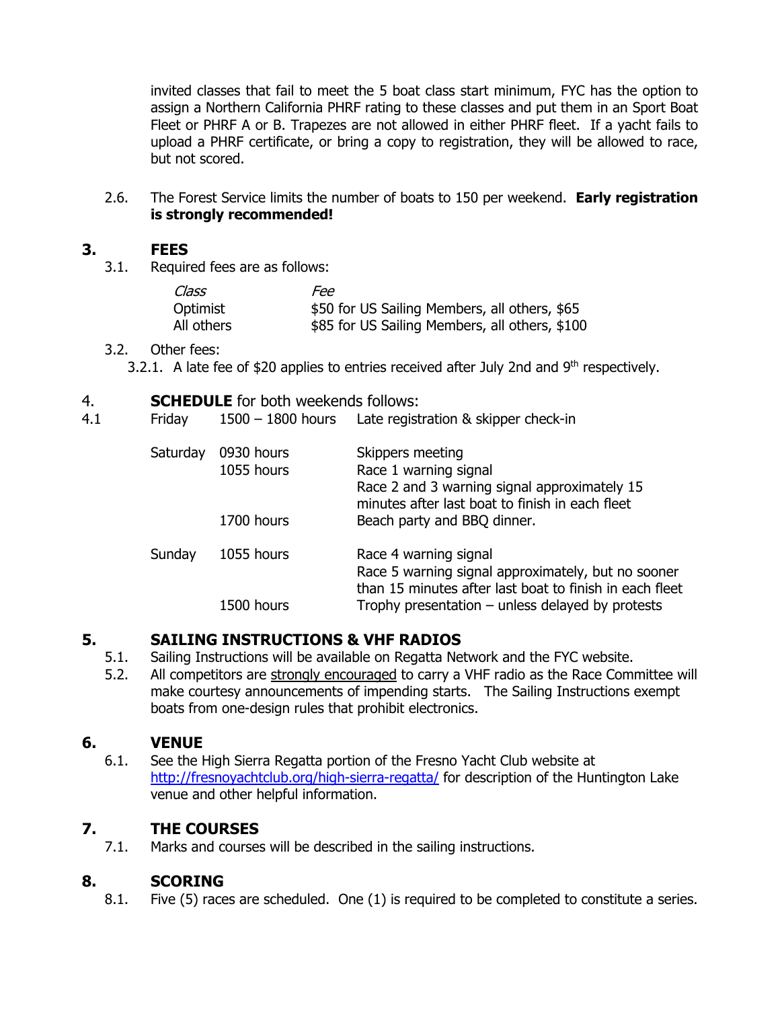invited classes that fail to meet the 5 boat class start minimum, FYC has the option to assign a Northern California PHRF rating to these classes and put them in an Sport Boat Fleet or PHRF A or B. Trapezes are not allowed in either PHRF fleet. If a yacht fails to upload a PHRF certificate, or bring a copy to registration, they will be allowed to race, but not scored.

2.6. The Forest Service limits the number of boats to 150 per weekend. **Early registration is strongly recommended!**

## **3. FEES**

3.1. Required fees are as follows:

| Class      | Fee                                            |
|------------|------------------------------------------------|
| Optimist   | \$50 for US Sailing Members, all others, \$65  |
| All others | \$85 for US Sailing Members, all others, \$100 |

#### 3.2. Other fees:

3.2.1. A late fee of \$20 applies to entries received after July 2nd and  $9<sup>th</sup>$  respectively.

| <b>SCHEDULE</b> for both weekends follows:<br>4. |  |
|--------------------------------------------------|--|
|--------------------------------------------------|--|

| 4.1 | Friday   | $1500 - 1800$ hours      | Late registration & skipper check-in                                                                                                         |
|-----|----------|--------------------------|----------------------------------------------------------------------------------------------------------------------------------------------|
|     | Saturday | 0930 hours<br>1055 hours | Skippers meeting<br>Race 1 warning signal<br>Race 2 and 3 warning signal approximately 15<br>minutes after last boat to finish in each fleet |
|     |          | 1700 hours               | Beach party and BBQ dinner.                                                                                                                  |
|     | Sunday   | 1055 hours               | Race 4 warning signal<br>Race 5 warning signal approximately, but no sooner<br>than 15 minutes after last boat to finish in each fleet       |
|     |          | 1500 hours               | Trophy presentation $-$ unless delayed by protests                                                                                           |

#### **5. SAILING INSTRUCTIONS & VHF RADIOS**

- 5.1. Sailing Instructions will be available on Regatta Network and the FYC website.
- 5.2. All competitors are strongly encouraged to carry a VHF radio as the Race Committee will make courtesy announcements of impending starts. The Sailing Instructions exempt boats from one-design rules that prohibit electronics.

#### **6. VENUE**

6.1. See the High Sierra Regatta portion of the Fresno Yacht Club website at http://fresnoyachtclub.org/high-sierra-regatta/ for description of the Huntington Lake venue and other helpful information.

## **7. THE COURSES**

7.1. Marks and courses will be described in the sailing instructions.

## **8. SCORING**

8.1. Five (5) races are scheduled. One (1) is required to be completed to constitute a series.